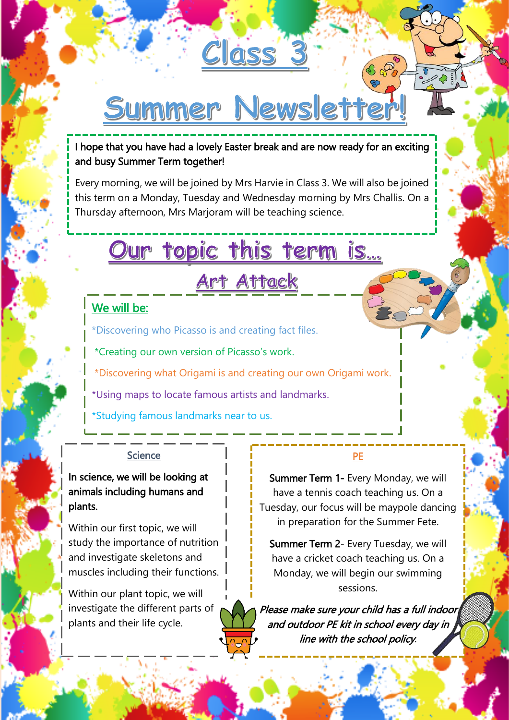# Summer Newsletter

Class 3

I hope that you have had a lovely Easter break and are now ready for an exciting and busy Summer Term together!

Every morning, we will be joined by Mrs Harvie in Class 3. We will also be joined this term on a Monday, Tuesday and Wednesday morning by Mrs Challis. On a Thursday afternoon, Mrs Marjoram will be teaching science.

# Our topic this term is...

<u>Art Attack</u>

## We will be:

u

\*Discovering who Picasso is and creating fact files.

\*Creating our own version of Picasso's work.

\*Discovering what Origami is and creating our own Origami work.

\*Using maps to locate famous artists and landmarks.

\*Studying famous landmarks near to us.

#### **Science**

In science, we will be looking at animals including humans and plants.

Within our first topic, we will study the importance of nutrition and investigate skeletons and muscles including their functions.

Within our plant topic, we will investigate the different parts of plants and their life cycle.

#### PE

Summer Term 1- Every Monday, we will have a tennis coach teaching us. On a Tuesday, our focus will be maypole dancing in preparation for the Summer Fete.

Summer Term 2- Every Tuesday, we will have a cricket coach teaching us. On a Monday, we will begin our swimming sessions.

Please make sure your child has a full indoor and outdoor PE kit in school every day in line with the school policy.